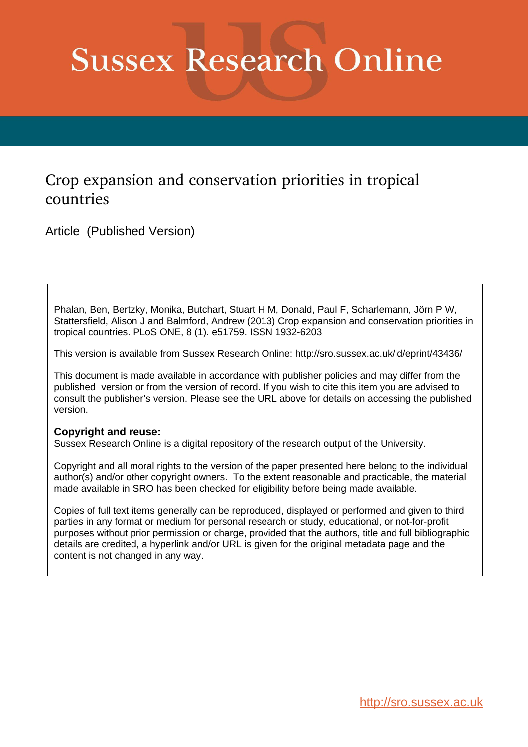# **Sussex Research Online**

## Crop expansion and conservation priorities in tropical countries

Article (Published Version)

Phalan, Ben, Bertzky, Monika, Butchart, Stuart H M, Donald, Paul F, Scharlemann, Jörn P W, Stattersfield, Alison J and Balmford, Andrew (2013) Crop expansion and conservation priorities in tropical countries. PLoS ONE, 8 (1). e51759. ISSN 1932-6203

This version is available from Sussex Research Online: http://sro.sussex.ac.uk/id/eprint/43436/

This document is made available in accordance with publisher policies and may differ from the published version or from the version of record. If you wish to cite this item you are advised to consult the publisher's version. Please see the URL above for details on accessing the published version.

## **Copyright and reuse:**

Sussex Research Online is a digital repository of the research output of the University.

Copyright and all moral rights to the version of the paper presented here belong to the individual author(s) and/or other copyright owners. To the extent reasonable and practicable, the material made available in SRO has been checked for eligibility before being made available.

Copies of full text items generally can be reproduced, displayed or performed and given to third parties in any format or medium for personal research or study, educational, or not-for-profit purposes without prior permission or charge, provided that the authors, title and full bibliographic details are credited, a hyperlink and/or URL is given for the original metadata page and the content is not changed in any way.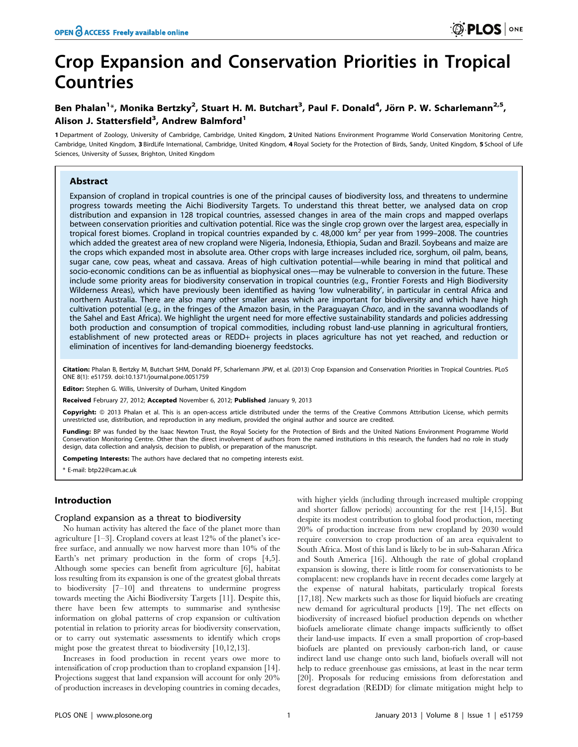# Crop Expansion and Conservation Priorities in Tropical **Countries**

### Ben Phalan<sup>1</sup>\*, Monika Bertzky<sup>2</sup>, Stuart H. M. Butchart<sup>3</sup>, Paul F. Donald<sup>4</sup>, Jörn P. W. Scharlemann<sup>2,5</sup>, Alison J. Stattersfield<sup>3</sup>, Andrew Balmford<sup>1</sup>

1 Department of Zoology, University of Cambridge, Cambridge, United Kingdom, 2 United Nations Environment Programme World Conservation Monitoring Centre, Cambridge, United Kingdom, 3 BirdLife International, Cambridge, United Kingdom, 4 Royal Society for the Protection of Birds, Sandy, United Kingdom, 5 School of Life Sciences, University of Sussex, Brighton, United Kingdom

#### Abstract

Expansion of cropland in tropical countries is one of the principal causes of biodiversity loss, and threatens to undermine progress towards meeting the Aichi Biodiversity Targets. To understand this threat better, we analysed data on crop distribution and expansion in 128 tropical countries, assessed changes in area of the main crops and mapped overlaps between conservation priorities and cultivation potential. Rice was the single crop grown over the largest area, especially in tropical forest biomes. Cropland in tropical countries expanded by c.  $48,000 \text{ km}^2$  per year from 1999–2008. The countries which added the greatest area of new cropland were Nigeria, Indonesia, Ethiopia, Sudan and Brazil. Soybeans and maize are the crops which expanded most in absolute area. Other crops with large increases included rice, sorghum, oil palm, beans, sugar cane, cow peas, wheat and cassava. Areas of high cultivation potential—while bearing in mind that political and socio-economic conditions can be as influential as biophysical ones—may be vulnerable to conversion in the future. These include some priority areas for biodiversity conservation in tropical countries (e.g., Frontier Forests and High Biodiversity Wilderness Areas), which have previously been identified as having 'low vulnerability', in particular in central Africa and northern Australia. There are also many other smaller areas which are important for biodiversity and which have high cultivation potential (e.g., in the fringes of the Amazon basin, in the Paraguayan Chaco, and in the savanna woodlands of the Sahel and East Africa). We highlight the urgent need for more effective sustainability standards and policies addressing both production and consumption of tropical commodities, including robust land-use planning in agricultural frontiers, establishment of new protected areas or REDD+ projects in places agriculture has not yet reached, and reduction or elimination of incentives for land-demanding bioenergy feedstocks.

Citation: Phalan B, Bertzky M, Butchart SHM, Donald PF, Scharlemann JPW, et al. (2013) Crop Expansion and Conservation Priorities in Tropical Countries. PLoS ONE 8(1): e51759. doi:10.1371/journal.pone.0051759

Editor: Stephen G. Willis, University of Durham, United Kingdom

Received February 27, 2012; Accepted November 6, 2012; Published January 9, 2013

Copyright: © 2013 Phalan et al. This is an open-access article distributed under the terms of the Creative Commons Attribution License, which permits unrestricted use, distribution, and reproduction in any medium, provided the original author and source are credited.

Funding: BP was funded by the Isaac Newton Trust, the Royal Society for the Protection of Birds and the United Nations Environment Programme World Conservation Monitoring Centre. Other than the direct involvement of authors from the named institutions in this research, the funders had no role in study design, data collection and analysis, decision to publish, or preparation of the manuscript.

Competing Interests: The authors have declared that no competing interests exist.

\* E-mail: btp22@cam.ac.uk

#### Introduction

#### Cropland expansion as a threat to biodiversity

No human activity has altered the face of the planet more than agriculture [1–3]. Cropland covers at least 12% of the planet's icefree surface, and annually we now harvest more than 10% of the Earth's net primary production in the form of crops [4,5]. Although some species can benefit from agriculture [6], habitat loss resulting from its expansion is one of the greatest global threats to biodiversity [7–10] and threatens to undermine progress towards meeting the Aichi Biodiversity Targets [11]. Despite this, there have been few attempts to summarise and synthesise information on global patterns of crop expansion or cultivation potential in relation to priority areas for biodiversity conservation, or to carry out systematic assessments to identify which crops might pose the greatest threat to biodiversity [10,12,13].

Increases in food production in recent years owe more to intensification of crop production than to cropland expansion [14]. Projections suggest that land expansion will account for only 20% of production increases in developing countries in coming decades, with higher yields (including through increased multiple cropping and shorter fallow periods) accounting for the rest [14,15]. But despite its modest contribution to global food production, meeting 20% of production increase from new cropland by 2030 would require conversion to crop production of an area equivalent to South Africa. Most of this land is likely to be in sub-Saharan Africa and South America [16]. Although the rate of global cropland expansion is slowing, there is little room for conservationists to be complacent: new croplands have in recent decades come largely at the expense of natural habitats, particularly tropical forests [17,18]. New markets such as those for liquid biofuels are creating new demand for agricultural products [19]. The net effects on biodiversity of increased biofuel production depends on whether biofuels ameliorate climate change impacts sufficiently to offset their land-use impacts. If even a small proportion of crop-based biofuels are planted on previously carbon-rich land, or cause indirect land use change onto such land, biofuels overall will not help to reduce greenhouse gas emissions, at least in the near term [20]. Proposals for reducing emissions from deforestation and forest degradation (REDD) for climate mitigation might help to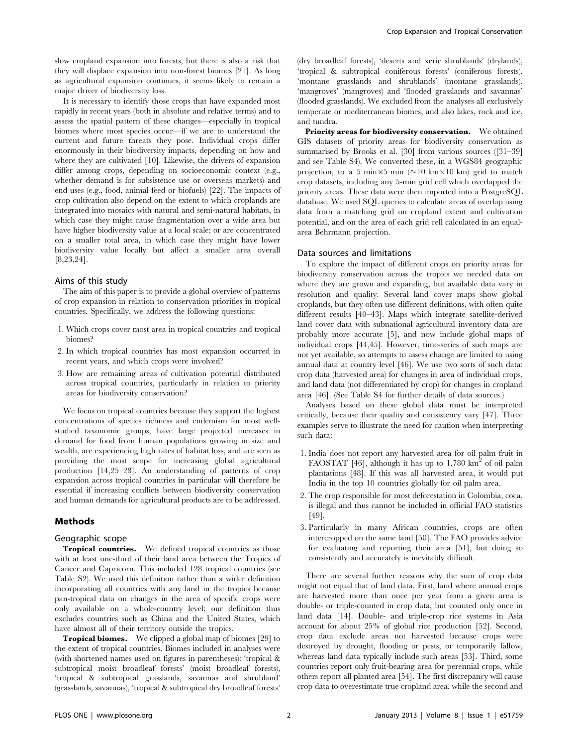slow cropland expansion into forests, but there is also a risk that they will displace expansion into non-forest biomes [21]. As long as agricultural expansion continues, it seems likely to remain a major driver of biodiversity loss.

It is necessary to identify those crops that have expanded most rapidly in recent years (both in absolute and relative terms) and to assess the spatial pattern of these changes—especially in tropical biomes where most species occur—if we are to understand the current and future threats they pose. Individual crops differ enormously in their biodiversity impacts, depending on how and where they are cultivated [10]. Likewise, the drivers of expansion differ among crops, depending on socioeconomic context (e.g., whether demand is for subsistence use or overseas markets) and end uses (e.g., food, animal feed or biofuels) [22]. The impacts of crop cultivation also depend on the extent to which croplands are integrated into mosaics with natural and semi-natural habitats, in which case they might cause fragmentation over a wide area but have higher biodiversity value at a local scale; or are concentrated on a smaller total area, in which case they might have lower biodiversity value locally but affect a smaller area overall [8,23,24].

#### Aims of this study

The aim of this paper is to provide a global overview of patterns of crop expansion in relation to conservation priorities in tropical countries. Specifically, we address the following questions:

- 1. Which crops cover most area in tropical countries and tropical biomes?
- 2. In which tropical countries has most expansion occurred in recent years, and which crops were involved?
- 3. How are remaining areas of cultivation potential distributed across tropical countries, particularly in relation to priority areas for biodiversity conservation?

We focus on tropical countries because they support the highest concentrations of species richness and endemism for most wellstudied taxonomic groups, have large projected increases in demand for food from human populations growing in size and wealth, are experiencing high rates of habitat loss, and are seen as providing the most scope for increasing global agricultural production [14,25–28]. An understanding of patterns of crop expansion across tropical countries in particular will therefore be essential if increasing conflicts between biodiversity conservation and human demands for agricultural products are to be addressed.

#### Methods

#### Geographic scope

Tropical countries. We defined tropical countries as those with at least one-third of their land area between the Tropics of Cancer and Capricorn. This included 128 tropical countries (see Table S2). We used this definition rather than a wider definition incorporating all countries with any land in the tropics because pan-tropical data on changes in the area of specific crops were only available on a whole-country level; our definition thus excludes countries such as China and the United States, which have almost all of their territory outside the tropics.

Tropical biomes. We clipped a global map of biomes [29] to the extent of tropical countries. Biomes included in analyses were (with shortened names used on figures in parentheses): 'tropical & subtropical moist broadleaf forests' (moist broadleaf forests), 'tropical & subtropical grasslands, savannas and shrubland' (grasslands, savannas), 'tropical & subtropical dry broadleaf forests'

(dry broadleaf forests), 'deserts and xeric shrublands' (drylands), 'tropical & subtropical coniferous forests' (coniferous forests), 'montane grasslands and shrublands' (montane grasslands), 'mangroves' (mangroves) and 'flooded grasslands and savannas' (flooded grasslands). We excluded from the analyses all exclusively temperate or mediterranean biomes, and also lakes, rock and ice, and tundra.

Priority areas for biodiversity conservation. We obtained GIS datasets of priority areas for biodiversity conservation as summarised by Brooks et al. [30] from various sources ([31–39] and see Table S4). We converted these, in a WGS84 geographic projection, to a 5 min $\times$ 5 min ( $\approx$ 10 km $\times$ 10 km) grid to match crop datasets, including any 5-min grid cell which overlapped the priority areas. These data were then imported into a PostgreSQL database. We used SQL queries to calculate areas of overlap using data from a matching grid on cropland extent and cultivation potential, and on the area of each grid cell calculated in an equalarea Behrmann projection.

#### Data sources and limitations

To explore the impact of different crops on priority areas for biodiversity conservation across the tropics we needed data on where they are grown and expanding, but available data vary in resolution and quality. Several land cover maps show global croplands, but they often use different definitions, with often quite different results [40–43]. Maps which integrate satellite-derived land cover data with subnational agricultural inventory data are probably more accurate [5], and now include global maps of individual crops [44,45]. However, time-series of such maps are not yet available, so attempts to assess change are limited to using annual data at country level [46]. We use two sorts of such data: crop data (harvested area) for changes in area of individual crops, and land data (not differentiated by crop) for changes in cropland area [46]. (See Table S4 for further details of data sources.)

Analyses based on these global data must be interpreted critically, because their quality and consistency vary [47]. Three examples serve to illustrate the need for caution when interpreting such data:

- 1. India does not report any harvested area for oil palm fruit in FAOSTAT [46], although it has up to  $1,780 \text{ km}^2$  of oil palm plantations [48]. If this was all harvested area, it would put India in the top 10 countries globally for oil palm area.
- 2. The crop responsible for most deforestation in Colombia, coca, is illegal and thus cannot be included in official FAO statistics [49].
- 3. Particularly in many African countries, crops are often intercropped on the same land [50]. The FAO provides advice for evaluating and reporting their area [51], but doing so consistently and accurately is inevitably difficult.

There are several further reasons why the sum of crop data might not equal that of land data. First, land where annual crops are harvested more than once per year from a given area is double- or triple-counted in crop data, but counted only once in land data [14]. Double- and triple-crop rice systems in Asia account for about 25% of global rice production [52]. Second, crop data exclude areas not harvested because crops were destroyed by drought, flooding or pests, or temporarily fallow, whereas land data typically include such areas [53]. Third, some countries report only fruit-bearing area for perennial crops, while others report all planted area [54]. The first discrepancy will cause crop data to overestimate true cropland area, while the second and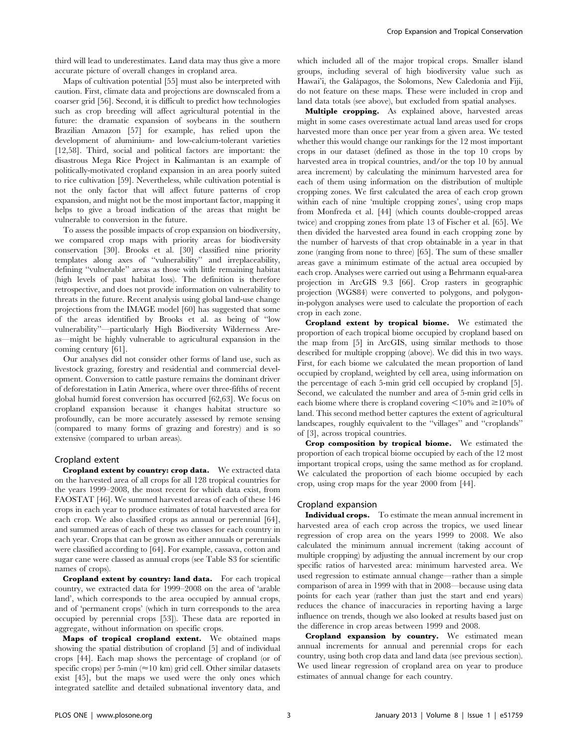third will lead to underestimates. Land data may thus give a more accurate picture of overall changes in cropland area.

Maps of cultivation potential [55] must also be interpreted with caution. First, climate data and projections are downscaled from a coarser grid [56]. Second, it is difficult to predict how technologies such as crop breeding will affect agricultural potential in the future: the dramatic expansion of soybeans in the southern Brazilian Amazon [57] for example, has relied upon the development of aluminium- and low-calcium-tolerant varieties [12,58]. Third, social and political factors are important: the disastrous Mega Rice Project in Kalimantan is an example of politically-motivated cropland expansion in an area poorly suited to rice cultivation [59]. Nevertheless, while cultivation potential is not the only factor that will affect future patterns of crop expansion, and might not be the most important factor, mapping it helps to give a broad indication of the areas that might be vulnerable to conversion in the future.

To assess the possible impacts of crop expansion on biodiversity, we compared crop maps with priority areas for biodiversity conservation [30]. Brooks et al. [30] classified nine priority templates along axes of ''vulnerability'' and irreplaceability, defining ''vulnerable'' areas as those with little remaining habitat (high levels of past habitat loss). The definition is therefore retrospective, and does not provide information on vulnerability to threats in the future. Recent analysis using global land-use change projections from the IMAGE model [60] has suggested that some of the areas identified by Brooks et al. as being of ''low vulnerability''—particularly High Biodiversity Wilderness Areas—might be highly vulnerable to agricultural expansion in the coming century [61].

Our analyses did not consider other forms of land use, such as livestock grazing, forestry and residential and commercial development. Conversion to cattle pasture remains the dominant driver of deforestation in Latin America, where over three-fifths of recent global humid forest conversion has occurred [62,63]. We focus on cropland expansion because it changes habitat structure so profoundly, can be more accurately assessed by remote sensing (compared to many forms of grazing and forestry) and is so extensive (compared to urban areas).

#### Cropland extent

Cropland extent by country: crop data. We extracted data on the harvested area of all crops for all 128 tropical countries for the years 1999–2008, the most recent for which data exist, from FAOSTAT [46]. We summed harvested areas of each of these 146 crops in each year to produce estimates of total harvested area for each crop. We also classified crops as annual or perennial [64], and summed areas of each of these two classes for each country in each year. Crops that can be grown as either annuals or perennials were classified according to [64]. For example, cassava, cotton and sugar cane were classed as annual crops (see Table S3 for scientific names of crops).

Cropland extent by country: land data. For each tropical country, we extracted data for 1999–2008 on the area of 'arable land', which corresponds to the area occupied by annual crops, and of 'permanent crops' (which in turn corresponds to the area occupied by perennial crops [53]). These data are reported in aggregate, without information on specific crops.

Maps of tropical cropland extent. We obtained maps showing the spatial distribution of cropland [5] and of individual crops [44]. Each map shows the percentage of cropland (or of specific crops) per 5-min ( $\approx$ 10 km) grid cell. Other similar datasets exist [45], but the maps we used were the only ones which integrated satellite and detailed subnational inventory data, and which included all of the major tropical crops. Smaller island groups, including several of high biodiversity value such as Hawai'i, the Galápagos, the Solomons, New Caledonia and Fiji, do not feature on these maps. These were included in crop and land data totals (see above), but excluded from spatial analyses.

Multiple cropping. As explained above, harvested areas might in some cases overestimate actual land areas used for crops harvested more than once per year from a given area. We tested whether this would change our rankings for the 12 most important crops in our dataset (defined as those in the top 10 crops by harvested area in tropical countries, and/or the top 10 by annual area increment) by calculating the minimum harvested area for each of them using information on the distribution of multiple cropping zones. We first calculated the area of each crop grown within each of nine 'multiple cropping zones', using crop maps from Monfreda et al. [44] (which counts double-cropped areas twice) and cropping zones from plate 13 of Fischer et al. [65]. We then divided the harvested area found in each cropping zone by the number of harvests of that crop obtainable in a year in that zone (ranging from none to three) [65]. The sum of these smaller areas gave a minimum estimate of the actual area occupied by each crop. Analyses were carried out using a Behrmann equal-area projection in ArcGIS 9.3 [66]. Crop rasters in geographic projection (WGS84) were converted to polygons, and polygonin-polygon analyses were used to calculate the proportion of each crop in each zone.

Cropland extent by tropical biome. We estimated the proportion of each tropical biome occupied by cropland based on the map from [5] in ArcGIS, using similar methods to those described for multiple cropping (above). We did this in two ways. First, for each biome we calculated the mean proportion of land occupied by cropland, weighted by cell area, using information on the percentage of each 5-min grid cell occupied by cropland [5]. Second, we calculated the number and area of 5-min grid cells in each biome where there is cropland covering  $\leq 10\%$  and  $\geq 10\%$  of land. This second method better captures the extent of agricultural landscapes, roughly equivalent to the ''villages'' and ''croplands'' of [3], across tropical countries.

Crop composition by tropical biome. We estimated the proportion of each tropical biome occupied by each of the 12 most important tropical crops, using the same method as for cropland. We calculated the proportion of each biome occupied by each crop, using crop maps for the year 2000 from [44].

#### Cropland expansion

Individual crops. To estimate the mean annual increment in harvested area of each crop across the tropics, we used linear regression of crop area on the years 1999 to 2008. We also calculated the minimum annual increment (taking account of multiple cropping) by adjusting the annual increment by our crop specific ratios of harvested area: minimum harvested area. We used regression to estimate annual change—rather than a simple comparison of area in 1999 with that in 2008—because using data points for each year (rather than just the start and end years) reduces the chance of inaccuracies in reporting having a large influence on trends, though we also looked at results based just on the difference in crop areas between 1999 and 2008.

Cropland expansion by country. We estimated mean annual increments for annual and perennial crops for each country, using both crop data and land data (see previous section). We used linear regression of cropland area on year to produce estimates of annual change for each country.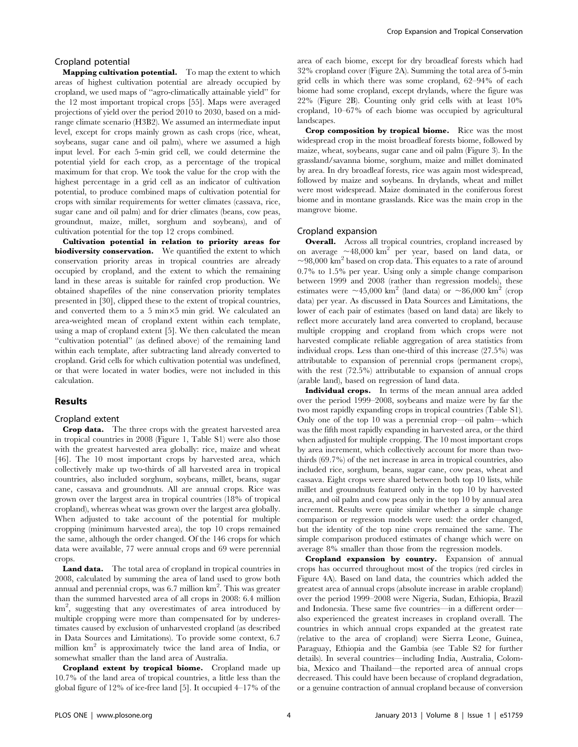#### Cropland potential

Mapping cultivation potential. To map the extent to which areas of highest cultivation potential are already occupied by cropland, we used maps of ''agro-climatically attainable yield'' for the 12 most important tropical crops [55]. Maps were averaged projections of yield over the period 2010 to 2030, based on a midrange climate scenario (H3B2). We assumed an intermediate input level, except for crops mainly grown as cash crops (rice, wheat, soybeans, sugar cane and oil palm), where we assumed a high input level. For each 5-min grid cell, we could determine the potential yield for each crop, as a percentage of the tropical maximum for that crop. We took the value for the crop with the highest percentage in a grid cell as an indicator of cultivation potential, to produce combined maps of cultivation potential for crops with similar requirements for wetter climates (cassava, rice, sugar cane and oil palm) and for drier climates (beans, cow peas, groundnut, maize, millet, sorghum and soybeans), and of cultivation potential for the top 12 crops combined.

Cultivation potential in relation to priority areas for biodiversity conservation. We quantified the extent to which conservation priority areas in tropical countries are already occupied by cropland, and the extent to which the remaining land in these areas is suitable for rainfed crop production. We obtained shapefiles of the nine conservation priority templates presented in [30], clipped these to the extent of tropical countries, and converted them to a  $5 \text{ min} \times 5 \text{ min}$  grid. We calculated an area-weighted mean of cropland extent within each template, using a map of cropland extent [5]. We then calculated the mean ''cultivation potential'' (as defined above) of the remaining land within each template, after subtracting land already converted to cropland. Grid cells for which cultivation potential was undefined, or that were located in water bodies, were not included in this calculation.

#### Results

#### Cropland extent

Crop data. The three crops with the greatest harvested area in tropical countries in 2008 (Figure 1, Table S1) were also those with the greatest harvested area globally: rice, maize and wheat [46]. The 10 most important crops by harvested area, which collectively make up two-thirds of all harvested area in tropical countries, also included sorghum, soybeans, millet, beans, sugar cane, cassava and groundnuts. All are annual crops. Rice was grown over the largest area in tropical countries (18% of tropical cropland), whereas wheat was grown over the largest area globally. When adjusted to take account of the potential for multiple cropping (minimum harvested area), the top 10 crops remained the same, although the order changed. Of the 146 crops for which data were available, 77 were annual crops and 69 were perennial crops.

Land data. The total area of cropland in tropical countries in 2008, calculated by summing the area of land used to grow both annual and perennial crops, was 6.7 million km<sup>2</sup>. This was greater than the summed harvested area of all crops in 2008: 6.4 million km<sup>2</sup>, suggesting that any overestimates of area introduced by multiple cropping were more than compensated for by underestimates caused by exclusion of unharvested cropland (as described in Data Sources and Limitations). To provide some context, 6.7 million km2 is approximately twice the land area of India, or somewhat smaller than the land area of Australia.

Cropland extent by tropical biome. Cropland made up 10.7% of the land area of tropical countries, a little less than the global figure of 12% of ice-free land [5]. It occupied 4–17% of the

area of each biome, except for dry broadleaf forests which had 32% cropland cover (Figure 2A). Summing the total area of 5-min grid cells in which there was some cropland, 62–94% of each biome had some cropland, except drylands, where the figure was 22% (Figure 2B). Counting only grid cells with at least 10% cropland, 10–67% of each biome was occupied by agricultural landscapes.

Crop composition by tropical biome. Rice was the most widespread crop in the moist broadleaf forests biome, followed by maize, wheat, soybeans, sugar cane and oil palm (Figure 3). In the grassland/savanna biome, sorghum, maize and millet dominated by area. In dry broadleaf forests, rice was again most widespread, followed by maize and soybeans. In drylands, wheat and millet were most widespread. Maize dominated in the coniferous forest biome and in montane grasslands. Rice was the main crop in the mangrove biome.

#### Cropland expansion

**Overall.** Across all tropical countries, cropland increased by on average  $\sim$ 48,000 km<sup>2</sup> per year, based on land data, or  $\sim$ 98,000 km<sup>2</sup> based on crop data. This equates to a rate of around 0.7% to 1.5% per year. Using only a simple change comparison between 1999 and 2008 (rather than regression models), these estimates were  $\sim 45,000 \text{ km}^2$  (land data) or  $\sim 86,000 \text{ km}^2$  (crop data) per year. As discussed in Data Sources and Limitations, the lower of each pair of estimates (based on land data) are likely to reflect more accurately land area converted to cropland, because multiple cropping and cropland from which crops were not harvested complicate reliable aggregation of area statistics from individual crops. Less than one-third of this increase (27.5%) was attributable to expansion of perennial crops (permanent crops), with the rest (72.5%) attributable to expansion of annual crops (arable land), based on regression of land data.

Individual crops. In terms of the mean annual area added over the period 1999–2008, soybeans and maize were by far the two most rapidly expanding crops in tropical countries (Table S1). Only one of the top 10 was a perennial crop—oil palm—which was the fifth most rapidly expanding in harvested area, or the third when adjusted for multiple cropping. The 10 most important crops by area increment, which collectively account for more than twothirds (69.7%) of the net increase in area in tropical countries, also included rice, sorghum, beans, sugar cane, cow peas, wheat and cassava. Eight crops were shared between both top 10 lists, while millet and groundnuts featured only in the top 10 by harvested area, and oil palm and cow peas only in the top 10 by annual area increment. Results were quite similar whether a simple change comparison or regression models were used: the order changed, but the identity of the top nine crops remained the same. The simple comparison produced estimates of change which were on average 8% smaller than those from the regression models.

Cropland expansion by country. Expansion of annual crops has occurred throughout most of the tropics (red circles in Figure 4A). Based on land data, the countries which added the greatest area of annual crops (absolute increase in arable cropland) over the period 1999–2008 were Nigeria, Sudan, Ethiopia, Brazil and Indonesia. These same five countries—in a different order also experienced the greatest increases in cropland overall. The countries in which annual crops expanded at the greatest rate (relative to the area of cropland) were Sierra Leone, Guinea, Paraguay, Ethiopia and the Gambia (see Table S2 for further details). In several countries—including India, Australia, Colombia, Mexico and Thailand—the reported area of annual crops decreased. This could have been because of cropland degradation, or a genuine contraction of annual cropland because of conversion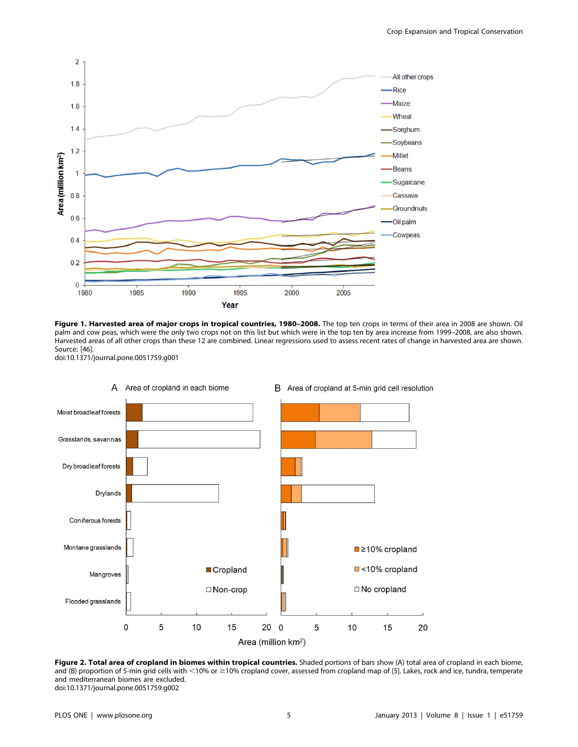

Figure 1. Harvested area of major crops in tropical countries, 1980–2008. The top ten crops in terms of their area in 2008 are shown. Oil palm and cow peas, which were the only two crops not on this list but which were in the top ten by area increase from 1999–2008, are also shown. Harvested areas of all other crops than these 12 are combined. Linear regressions used to assess recent rates of change in harvested area are shown. Source: [46].

doi:10.1371/journal.pone.0051759.g001



Figure 2. Total area of cropland in biomes within tropical countries. Shaded portions of bars show (A) total area of cropland in each biome, and (B) proportion of 5-min grid cells with <10% or  $\geq$ 10% cropland cover, assessed from cropland map of [5]. Lakes, rock and ice, tundra, temperate and mediterranean biomes are excluded. doi:10.1371/journal.pone.0051759.g002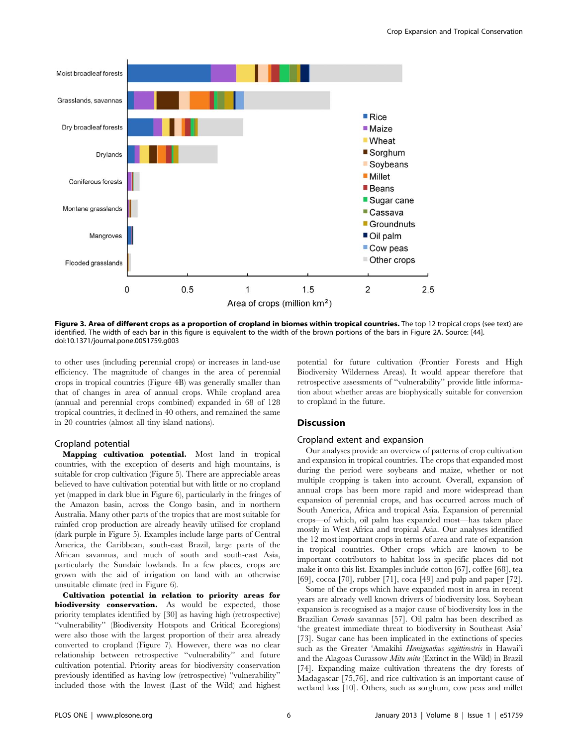

Figure 3. Area of different crops as a proportion of cropland in biomes within tropical countries. The top 12 tropical crops (see text) are identified. The width of each bar in this figure is equivalent to the width of the brown portions of the bars in Figure 2A. Source: [44]. doi:10.1371/journal.pone.0051759.g003

to other uses (including perennial crops) or increases in land-use efficiency. The magnitude of changes in the area of perennial crops in tropical countries (Figure 4B) was generally smaller than that of changes in area of annual crops. While cropland area (annual and perennial crops combined) expanded in 68 of 128 tropical countries, it declined in 40 others, and remained the same in 20 countries (almost all tiny island nations).

#### Cropland potential

Mapping cultivation potential. Most land in tropical countries, with the exception of deserts and high mountains, is suitable for crop cultivation (Figure 5). There are appreciable areas believed to have cultivation potential but with little or no cropland yet (mapped in dark blue in Figure 6), particularly in the fringes of the Amazon basin, across the Congo basin, and in northern Australia. Many other parts of the tropics that are most suitable for rainfed crop production are already heavily utilised for cropland (dark purple in Figure 5). Examples include large parts of Central America, the Caribbean, south-east Brazil, large parts of the African savannas, and much of south and south-east Asia, particularly the Sundaic lowlands. In a few places, crops are grown with the aid of irrigation on land with an otherwise unsuitable climate (red in Figure 6).

Cultivation potential in relation to priority areas for biodiversity conservation. As would be expected, those priority templates identified by [30] as having high (retrospective) ''vulnerability'' (Biodiversity Hotspots and Critical Ecoregions) were also those with the largest proportion of their area already converted to cropland (Figure 7). However, there was no clear relationship between retrospective ''vulnerability'' and future cultivation potential. Priority areas for biodiversity conservation previously identified as having low (retrospective) ''vulnerability'' included those with the lowest (Last of the Wild) and highest potential for future cultivation (Frontier Forests and High Biodiversity Wilderness Areas). It would appear therefore that retrospective assessments of ''vulnerability'' provide little information about whether areas are biophysically suitable for conversion to cropland in the future.

#### **Discussion**

#### Cropland extent and expansion

Our analyses provide an overview of patterns of crop cultivation and expansion in tropical countries. The crops that expanded most during the period were soybeans and maize, whether or not multiple cropping is taken into account. Overall, expansion of annual crops has been more rapid and more widespread than expansion of perennial crops, and has occurred across much of South America, Africa and tropical Asia. Expansion of perennial crops—of which, oil palm has expanded most—has taken place mostly in West Africa and tropical Asia. Our analyses identified the 12 most important crops in terms of area and rate of expansion in tropical countries. Other crops which are known to be important contributors to habitat loss in specific places did not make it onto this list. Examples include cotton [67], coffee [68], tea [69], cocoa [70], rubber [71], coca [49] and pulp and paper [72].

Some of the crops which have expanded most in area in recent years are already well known drivers of biodiversity loss. Soybean expansion is recognised as a major cause of biodiversity loss in the Brazilian Cerrado savannas [57]. Oil palm has been described as 'the greatest immediate threat to biodiversity in Southeast Asia' [73]. Sugar cane has been implicated in the extinctions of species such as the Greater 'Amakihi Hemignathus sagittirostris in Hawai'i and the Alagoas Curassow Mitu mitu (Extinct in the Wild) in Brazil [74]. Expanding maize cultivation threatens the dry forests of Madagascar [75,76], and rice cultivation is an important cause of wetland loss [10]. Others, such as sorghum, cow peas and millet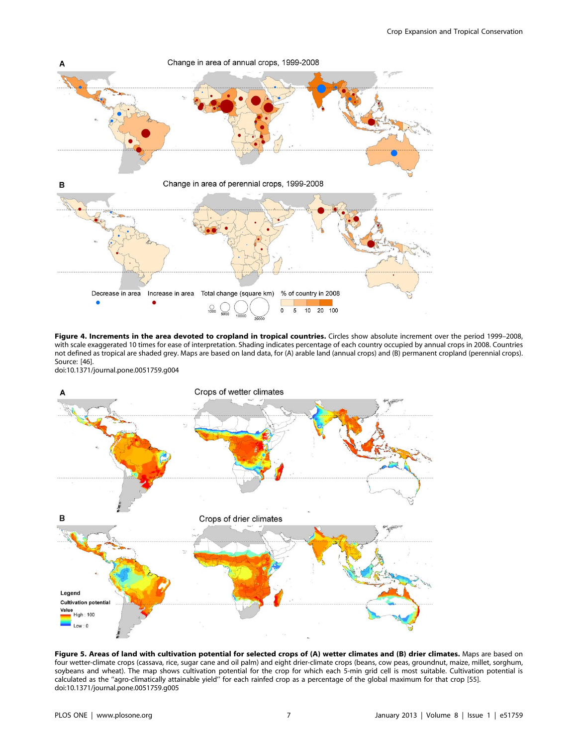

Figure 4. Increments in the area devoted to cropland in tropical countries. Circles show absolute increment over the period 1999-2008, with scale exaggerated 10 times for ease of interpretation. Shading indicates percentage of each country occupied by annual crops in 2008. Countries not defined as tropical are shaded grey. Maps are based on land data, for (A) arable land (annual crops) and (B) permanent cropland (perennial crops). Source: [46].

doi:10.1371/journal.pone.0051759.g004



Figure 5. Areas of land with cultivation potential for selected crops of (A) wetter climates and (B) drier climates. Maps are based on four wetter-climate crops (cassava, rice, sugar cane and oil palm) and eight drier-climate crops (beans, cow peas, groundnut, maize, millet, sorghum, soybeans and wheat). The map shows cultivation potential for the crop for which each 5-min grid cell is most suitable. Cultivation potential is calculated as the ''agro-climatically attainable yield'' for each rainfed crop as a percentage of the global maximum for that crop [55]. doi:10.1371/journal.pone.0051759.g005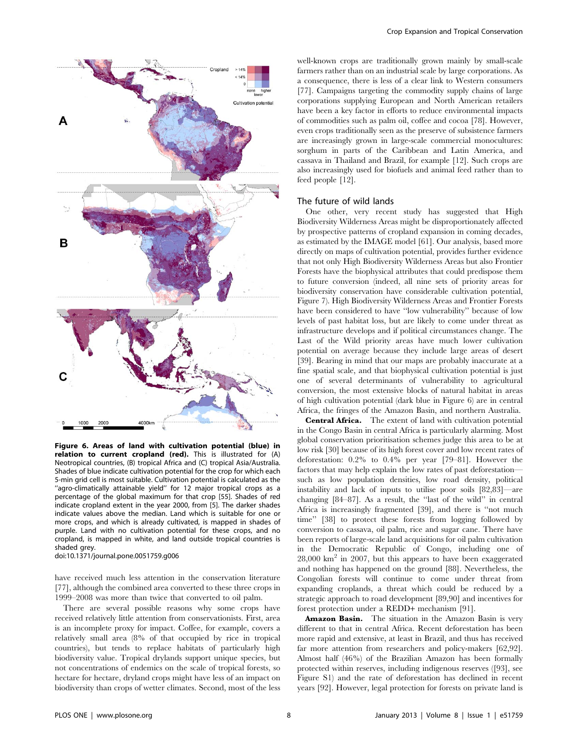

Figure 6. Areas of land with cultivation potential (blue) in relation to current cropland (red). This is illustrated for (A) Neotropical countries, (B) tropical Africa and (C) tropical Asia/Australia. Shades of blue indicate cultivation potential for the crop for which each 5-min grid cell is most suitable. Cultivation potential is calculated as the ''agro-climatically attainable yield'' for 12 major tropical crops as a percentage of the global maximum for that crop [55]. Shades of red indicate cropland extent in the year 2000, from [5]. The darker shades indicate values above the median. Land which is suitable for one or more crops, and which is already cultivated, is mapped in shades of purple. Land with no cultivation potential for these crops, and no cropland, is mapped in white, and land outside tropical countries is shaded grey.

doi:10.1371/journal.pone.0051759.g006

have received much less attention in the conservation literature [77], although the combined area converted to these three crops in 1999–2008 was more than twice that converted to oil palm.

There are several possible reasons why some crops have received relatively little attention from conservationists. First, area is an incomplete proxy for impact. Coffee, for example, covers a relatively small area (8% of that occupied by rice in tropical countries), but tends to replace habitats of particularly high biodiversity value. Tropical drylands support unique species, but not concentrations of endemics on the scale of tropical forests, so hectare for hectare, dryland crops might have less of an impact on biodiversity than crops of wetter climates. Second, most of the less well-known crops are traditionally grown mainly by small-scale farmers rather than on an industrial scale by large corporations. As a consequence, there is less of a clear link to Western consumers [77]. Campaigns targeting the commodity supply chains of large corporations supplying European and North American retailers have been a key factor in efforts to reduce environmental impacts of commodities such as palm oil, coffee and cocoa [78]. However, even crops traditionally seen as the preserve of subsistence farmers are increasingly grown in large-scale commercial monocultures: sorghum in parts of the Caribbean and Latin America, and cassava in Thailand and Brazil, for example [12]. Such crops are also increasingly used for biofuels and animal feed rather than to feed people [12].

#### The future of wild lands

One other, very recent study has suggested that High Biodiversity Wilderness Areas might be disproportionately affected by prospective patterns of cropland expansion in coming decades, as estimated by the IMAGE model [61]. Our analysis, based more directly on maps of cultivation potential, provides further evidence that not only High Biodiversity Wilderness Areas but also Frontier Forests have the biophysical attributes that could predispose them to future conversion (indeed, all nine sets of priority areas for biodiversity conservation have considerable cultivation potential, Figure 7). High Biodiversity Wilderness Areas and Frontier Forests have been considered to have ''low vulnerability'' because of low levels of past habitat loss, but are likely to come under threat as infrastructure develops and if political circumstances change. The Last of the Wild priority areas have much lower cultivation potential on average because they include large areas of desert [39]. Bearing in mind that our maps are probably inaccurate at a fine spatial scale, and that biophysical cultivation potential is just one of several determinants of vulnerability to agricultural conversion, the most extensive blocks of natural habitat in areas of high cultivation potential (dark blue in Figure 6) are in central Africa, the fringes of the Amazon Basin, and northern Australia.

Central Africa. The extent of land with cultivation potential in the Congo Basin in central Africa is particularly alarming. Most global conservation prioritisation schemes judge this area to be at low risk [30] because of its high forest cover and low recent rates of deforestation: 0.2% to 0.4% per year [79–81]. However the factors that may help explain the low rates of past deforestation such as low population densities, low road density, political instability and lack of inputs to utilise poor soils [82,83]—are changing [84–87]. As a result, the ''last of the wild'' in central Africa is increasingly fragmented [39], and there is ''not much time'' [38] to protect these forests from logging followed by conversion to cassava, oil palm, rice and sugar cane. There have been reports of large-scale land acquisitions for oil palm cultivation in the Democratic Republic of Congo, including one of  $28,000 \text{ km}^2$  in 2007, but this appears to have been exaggerated and nothing has happened on the ground [88]. Nevertheless, the Congolian forests will continue to come under threat from expanding croplands, a threat which could be reduced by a strategic approach to road development [89,90] and incentives for forest protection under a REDD+ mechanism [91].

Amazon Basin. The situation in the Amazon Basin is very different to that in central Africa. Recent deforestation has been more rapid and extensive, at least in Brazil, and thus has received far more attention from researchers and policy-makers [62,92]. Almost half (46%) of the Brazilian Amazon has been formally protected within reserves, including indigenous reserves ([93], see Figure S1) and the rate of deforestation has declined in recent years [92]. However, legal protection for forests on private land is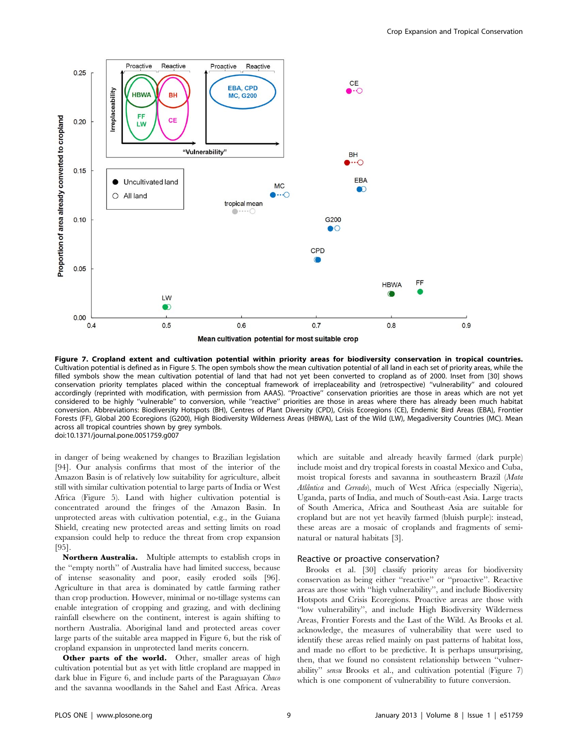

Figure 7. Cropland extent and cultivation potential within priority areas for biodiversity conservation in tropical countries. Cultivation potential is defined as in Figure 5. The open symbols show the mean cultivation potential of all land in each set of priority areas, while the filled symbols show the mean cultivation potential of land that had not yet been converted to cropland as of 2000. Inset from [30] shows conservation priority templates placed within the conceptual framework of irreplaceability and (retrospective) ''vulnerability'' and coloured accordingly (reprinted with modification, with permission from AAAS). ''Proactive'' conservation priorities are those in areas which are not yet considered to be highly ''vulnerable'' to conversion, while ''reactive'' priorities are those in areas where there has already been much habitat conversion. Abbreviations: Biodiversity Hotspots (BH), Centres of Plant Diversity (CPD), Crisis Ecoregions (CE), Endemic Bird Areas (EBA), Frontier Forests (FF), Global 200 Ecoregions (G200), High Biodiversity Wilderness Areas (HBWA), Last of the Wild (LW), Megadiversity Countries (MC). Mean across all tropical countries shown by grey symbols. doi:10.1371/journal.pone.0051759.g007

in danger of being weakened by changes to Brazilian legislation [94]. Our analysis confirms that most of the interior of the Amazon Basin is of relatively low suitability for agriculture, albeit still with similar cultivation potential to large parts of India or West Africa (Figure 5). Land with higher cultivation potential is concentrated around the fringes of the Amazon Basin. In unprotected areas with cultivation potential, e.g., in the Guiana Shield, creating new protected areas and setting limits on road expansion could help to reduce the threat from crop expansion [95].

Northern Australia. Multiple attempts to establish crops in the ''empty north'' of Australia have had limited success, because of intense seasonality and poor, easily eroded soils [96]. Agriculture in that area is dominated by cattle farming rather than crop production. However, minimal or no-tillage systems can enable integration of cropping and grazing, and with declining rainfall elsewhere on the continent, interest is again shifting to northern Australia. Aboriginal land and protected areas cover large parts of the suitable area mapped in Figure 6, but the risk of cropland expansion in unprotected land merits concern.

Other parts of the world. Other, smaller areas of high cultivation potential but as yet with little cropland are mapped in dark blue in Figure 6, and include parts of the Paraguayan Chaco and the savanna woodlands in the Sahel and East Africa. Areas which are suitable and already heavily farmed (dark purple) include moist and dry tropical forests in coastal Mexico and Cuba, moist tropical forests and savanna in southeastern Brazil (Mata Atlântica and Cerrado), much of West Africa (especially Nigeria), Uganda, parts of India, and much of South-east Asia. Large tracts of South America, Africa and Southeast Asia are suitable for cropland but are not yet heavily farmed (bluish purple): instead, these areas are a mosaic of croplands and fragments of seminatural or natural habitats [3].

#### Reactive or proactive conservation?

Brooks et al. [30] classify priority areas for biodiversity conservation as being either ''reactive'' or ''proactive''. Reactive areas are those with ''high vulnerability'', and include Biodiversity Hotspots and Crisis Ecoregions. Proactive areas are those with ''low vulnerability'', and include High Biodiversity Wilderness Areas, Frontier Forests and the Last of the Wild. As Brooks et al. acknowledge, the measures of vulnerability that were used to identify these areas relied mainly on past patterns of habitat loss, and made no effort to be predictive. It is perhaps unsurprising, then, that we found no consistent relationship between ''vulnerability'' sensu Brooks et al., and cultivation potential (Figure 7) which is one component of vulnerability to future conversion.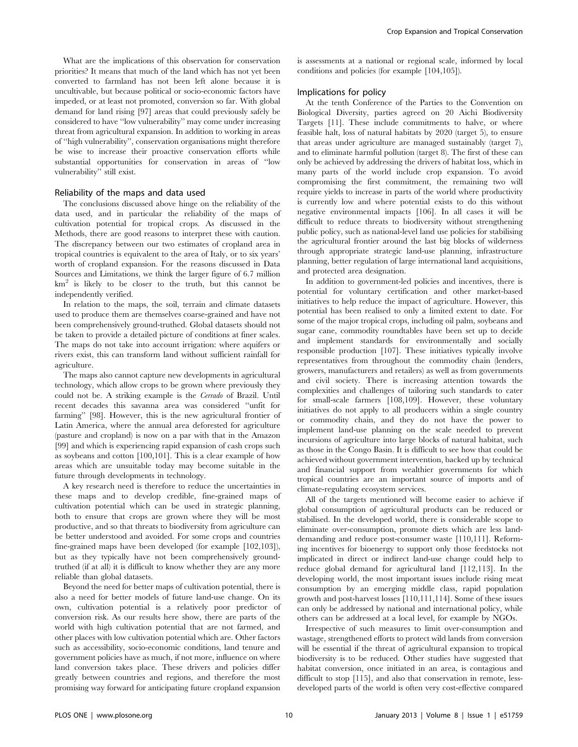What are the implications of this observation for conservation priorities? It means that much of the land which has not yet been converted to farmland has not been left alone because it is uncultivable, but because political or socio-economic factors have impeded, or at least not promoted, conversion so far. With global demand for land rising [97] areas that could previously safely be considered to have ''low vulnerability'' may come under increasing threat from agricultural expansion. In addition to working in areas of ''high vulnerability'', conservation organisations might therefore be wise to increase their proactive conservation efforts while substantial opportunities for conservation in areas of ''low vulnerability'' still exist.

#### Reliability of the maps and data used

The conclusions discussed above hinge on the reliability of the data used, and in particular the reliability of the maps of cultivation potential for tropical crops. As discussed in the Methods, there are good reasons to interpret these with caution. The discrepancy between our two estimates of cropland area in tropical countries is equivalent to the area of Italy, or to six years' worth of cropland expansion. For the reasons discussed in Data Sources and Limitations, we think the larger figure of 6.7 million  $km<sup>2</sup>$  is likely to be closer to the truth, but this cannot be independently verified.

In relation to the maps, the soil, terrain and climate datasets used to produce them are themselves coarse-grained and have not been comprehensively ground-truthed. Global datasets should not be taken to provide a detailed picture of conditions at finer scales. The maps do not take into account irrigation: where aquifers or rivers exist, this can transform land without sufficient rainfall for agriculture.

The maps also cannot capture new developments in agricultural technology, which allow crops to be grown where previously they could not be. A striking example is the Cerrado of Brazil. Until recent decades this savanna area was considered ''unfit for farming'' [98]. However, this is the new agricultural frontier of Latin America, where the annual area deforested for agriculture (pasture and cropland) is now on a par with that in the Amazon [99] and which is experiencing rapid expansion of cash crops such as soybeans and cotton [100,101]. This is a clear example of how areas which are unsuitable today may become suitable in the future through developments in technology.

A key research need is therefore to reduce the uncertainties in these maps and to develop credible, fine-grained maps of cultivation potential which can be used in strategic planning, both to ensure that crops are grown where they will be most productive, and so that threats to biodiversity from agriculture can be better understood and avoided. For some crops and countries fine-grained maps have been developed (for example [102,103]), but as they typically have not been comprehensively groundtruthed (if at all) it is difficult to know whether they are any more reliable than global datasets.

Beyond the need for better maps of cultivation potential, there is also a need for better models of future land-use change. On its own, cultivation potential is a relatively poor predictor of conversion risk. As our results here show, there are parts of the world with high cultivation potential that are not farmed, and other places with low cultivation potential which are. Other factors such as accessibility, socio-economic conditions, land tenure and government policies have as much, if not more, influence on where land conversion takes place. These drivers and policies differ greatly between countries and regions, and therefore the most promising way forward for anticipating future cropland expansion is assessments at a national or regional scale, informed by local conditions and policies (for example [104,105]).

#### Implications for policy

At the tenth Conference of the Parties to the Convention on Biological Diversity, parties agreed on 20 Aichi Biodiversity Targets [11]. These include commitments to halve, or where feasible halt, loss of natural habitats by 2020 (target 5), to ensure that areas under agriculture are managed sustainably (target 7), and to eliminate harmful pollution (target 8). The first of these can only be achieved by addressing the drivers of habitat loss, which in many parts of the world include crop expansion. To avoid compromising the first commitment, the remaining two will require yields to increase in parts of the world where productivity is currently low and where potential exists to do this without negative environmental impacts [106]. In all cases it will be difficult to reduce threats to biodiversity without strengthening public policy, such as national-level land use policies for stabilising the agricultural frontier around the last big blocks of wilderness through appropriate strategic land-use planning, infrastructure planning, better regulation of large international land acquisitions, and protected area designation.

In addition to government-led policies and incentives, there is potential for voluntary certification and other market-based initiatives to help reduce the impact of agriculture. However, this potential has been realised to only a limited extent to date. For some of the major tropical crops, including oil palm, soybeans and sugar cane, commodity roundtables have been set up to decide and implement standards for environmentally and socially responsible production [107]. These initiatives typically involve representatives from throughout the commodity chain (lenders, growers, manufacturers and retailers) as well as from governments and civil society. There is increasing attention towards the complexities and challenges of tailoring such standards to cater for small-scale farmers [108,109]. However, these voluntary initiatives do not apply to all producers within a single country or commodity chain, and they do not have the power to implement land-use planning on the scale needed to prevent incursions of agriculture into large blocks of natural habitat, such as those in the Congo Basin. It is difficult to see how that could be achieved without government intervention, backed up by technical and financial support from wealthier governments for which tropical countries are an important source of imports and of climate-regulating ecosystem services.

All of the targets mentioned will become easier to achieve if global consumption of agricultural products can be reduced or stabilised. In the developed world, there is considerable scope to eliminate over-consumption, promote diets which are less landdemanding and reduce post-consumer waste [110,111]. Reforming incentives for bioenergy to support only those feedstocks not implicated in direct or indirect land-use change could help to reduce global demand for agricultural land [112,113]. In the developing world, the most important issues include rising meat consumption by an emerging middle class, rapid population growth and post-harvest losses [110,111,114]. Some of these issues can only be addressed by national and international policy, while others can be addressed at a local level, for example by NGOs.

Irrespective of such measures to limit over-consumption and wastage, strengthened efforts to protect wild lands from conversion will be essential if the threat of agricultural expansion to tropical biodiversity is to be reduced. Other studies have suggested that habitat conversion, once initiated in an area, is contagious and difficult to stop [115], and also that conservation in remote, lessdeveloped parts of the world is often very cost-effective compared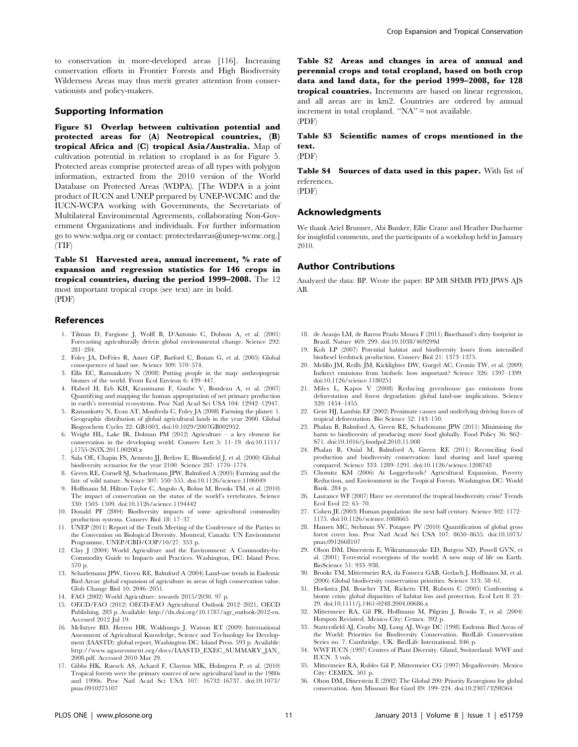to conservation in more-developed areas [116]. Increasing conservation efforts in Frontier Forests and High Biodiversity Wilderness Areas may thus merit greater attention from conservationists and policy-makers.

#### Supporting Information

Figure S1 Overlap between cultivation potential and protected areas for (A) Neotropical countries, (B) tropical Africa and (C) tropical Asia/Australia. Map of cultivation potential in relation to cropland is as for Figure 5. Protected areas comprise protected areas of all types with polygon information, extracted from the 2010 version of the World Database on Protected Areas (WDPA). [The WDPA is a joint product of IUCN and UNEP prepared by UNEP-WCMC and the IUCN-WCPA working with Governments, the Secretariats of Multilateral Environmental Agreements, collaborating Non-Government Organizations and individuals. For further information go to www.wdpa.org or contact: protectedareas@unep-wcmc.org.] (TIF)

Table S1 Harvested area, annual increment, % rate of expansion and regression statistics for 146 crops in tropical countries, during the period 1999–2008. The 12 most important tropical crops (see text) are in bold. (PDF)

#### References

- 1. Tilman D, Fargione J, Wolff B, D'Antonio C, Dobson A, et al. (2001) Forecasting agriculturally driven global environmental change. Science 292: 281–284.
- 2. Foley JA, DeFries R, Asner GP, Barford C, Bonan G, et al. (2005) Global consequences of land use. Science 309: 570–574.
- 3. Ellis EC, Ramankutty N (2008) Putting people in the map: anthropogenic biomes of the world. Front Ecol Environ 6: 439–447.
- 4. Haberl H, Erb KH, Krausmann F, Gaube V, Bondeau A, et al. (2007) Quantifying and mapping the human appropriation of net primary production in earth's terrestrial ecosystems. Proc Natl Acad Sci USA 104: 12942–12947.
- 5. Ramankutty N, Evan AT, Monfreda C, Foley JA (2008) Farming the planet: 1. Geographic distribution of global agricultural lands in the year 2000. Global Biogeochem Cycles 22: GB1003, doi:10.1029/2007GB002952.
- 6. Wright HL, Lake IR, Dolman PM (2012) Agriculture a key element for conservation in the developing world. Conserv Lett 5: 11–19. doi:10.1111/ j.1755-263X.2011.00208.x
- 7. Sala OE, Chapin FS, Armesto JJ, Berlow E, Bloomfield J, et al. (2000) Global biodiversity scenarios for the year 2100. Science 287: 1770–1774.
- 8. Green RE, Cornell SJ, Scharlemann JPW, Balmford A (2005) Farming and the fate of wild nature. Science 307: 550–555. doi:10.1126/science.1106049
- 9. Hoffmann M, Hilton-Taylor C, Angulo A, Bohm M, Brooks TM, et al. (2010) The impact of conservation on the status of the world's vertebrates. Science 330: 1503–1509. doi:10.1126/science.1194442
- 10. Donald PF (2004) Biodiversity impacts of some agricultural commodity production systems. Conserv Biol 18: 17–37.
- 11. UNEP (2011) Report of the Tenth Meeting of the Conference of the Parties to the Convention on Biological Diversity. Montreal, Canada: UN Environment Programme, UNEP/CBD/COP/10/27. 353 p.
- 12. Clay J (2004) World Agriculture and the Environment: A Commodity-by-Commodity Guide to Impacts and Practices. Washington, DC: Island Press. 570 p.
- 13. Scharlemann JPW, Green RE, Balmford A (2004) Land-use trends in Endemic Bird Areas: global expansion of agriculture in areas of high conservation value. Glob Change Biol 10: 2046–2051.
- 14. FAO (2002) World Agriculture: towards 2015/2030. 97 p.
- 15. OECD/FAO (2012) OECD-FAO Agricultural Outlook 2012–2021, OECD Publishing. 283 p. Available: http://dx.doi.org/10.1787/agr\_outlook-2012-en. Accessed 2012 Jul 19.
- 16. McIntyre BD, Herren HR, Wakhungu J, Watson RT (2009) International Assessment of Agricultural Knowledge, Science and Technology for Development (IAASTD): global report, Washington DC: Island Press. 593 p. Available: http://www.agassessment.org/docs/IAASTD\_EXEC\_SUMMARY\_JAN\_ 2008.pdf. Accessed 2010 Mar 29.
- 17. Gibbs HK, Ruesch AS, Achard F, Clayton MK, Holmgren P, et al. (2010) Tropical forests were the primary sources of new agricultural land in the 1980s and 1990s. Proc Natl Acad Sci USA 107: 16732–16737. doi:10.1073/ pnas.0910275107

Table S2 Areas and changes in area of annual and perennial crops and total cropland, based on both crop data and land data, for the period 1999–2008, for 128 tropical countries. Increments are based on linear regression, and all areas are in km2. Countries are ordered by annual increment in total cropland. "NA" = not available. (PDF)

#### Table S3 Scientific names of crops mentioned in the text.

(PDF)

Table S4 Sources of data used in this paper. With list of references.

(PDF)

#### Acknowledgments

We thank Ariel Brunner, Abi Bunker, Ellie Crane and Heather Ducharme for insightful comments, and the participants of a workshop held in January 2010.

#### Author Contributions

Analyzed the data: BP. Wrote the paper: BP MB SHMB PFD JPWS AJS AB.

- 18. de Araujo LM, de Barros Prado Moura F (2011) Bioethanol's dirty footprint in Brazil. Nature 469: 299. doi:10.1038/469299d
- 19. Koh LP (2007) Potential habitat and biodiversity losses from intensified biodiesel feedstock production. Conserv Biol 21: 1373–1375.
- 20. Melillo JM, Reilly JM, Kicklighter DW, Gurgel AC, Cronin TW, et al. (2009) Indirect emissions from biofuels: how important? Science 326: 1397–1399. doi:10.1126/science.1180251
- 21. Miles L, Kapos V (2008) Reducing greenhouse gas emissions from deforestation and forest degradation: global land-use implications. Science 320: 1454–1455.
- 22. Geist HJ, Lambin EF (2002) Proximate causes and underlying driving forces of tropical deforestation. Bio Science 52: 143–150.
- 23. Phalan B, Balmford A, Green RE, Scharlemann JPW (2011) Minimising the harm to biodiversity of producing more food globally. Food Policy 36: S62– S71. doi:10.1016/j.foodpol.2010.11.008
- 24. Phalan B, Onial M, Balmford A, Green RE (2011) Reconciling food production and biodiversity conservation: land sharing and land sparing compared. Science 333: 1289–1291. doi:10.1126/science.1208742
- 25. Chomitz KM (2006) At Loggerheads? Agricultural Expansion, Poverty Reduction, and Environment in the Tropical Forests. Washington DC: World Bank. 284 p.
- 26. Laurance WF (2007) Have we overstated the tropical biodiversity crisis? Trends Ecol Evol 22: 65–70.
- 27. Cohen JE (2003) Human population: the next half century. Science 302: 1172– 1175. doi:10.1126/science.1088665
- 28. Hansen MC, Stehman SV, Potapov PV (2010) Quantification of global gross forest cover loss. Proc Natl Acad Sci USA 107: 8650–8655. doi:10.1073/ pnas.0912668107
- 29. Olson DM, Dinerstein E, Wikramanayake ED, Burgess ND, Powell GVN, et al. (2001) Terrestrial ecoregions of the world: A new map of life on Earth. BioScience 51: 933–938.
- 30. Brooks TM, Mittermeier RA, da Fonseca GAB, Gerlach J, Hoffmann M, et al. (2006) Global biodiversity conservation priorities. Science 313: 58–61.
- 31. Hoekstra JM, Boucher TM, Ricketts TH, Roberts C (2005) Confronting a biome crisis: global disparities of habitat loss and protection. Ecol Lett 8: 23– 29. doi:10.1111/j.1461-0248.2004.00686.x
- 32. Mittermeier RA, Gil PR, Hoffmann M, Pilgrim J, Brooks T, et al. (2004) Hotspots Revisited. Mexico City: Cemex. 392 p.
- 33. Stattersfield AJ, Crosby MJ, Long AJ, Wege DC (1998) Endemic Bird Areas of the World: Priorities for Biodiversity Conservation. BirdLife Conservation Series no. 7. Cambridge, UK: BirdLife International. 846 p.
- 34. WWF IUCN (1997) Centres of Plant Diversity. Gland, Switzerland: WWF and IUCN. 3 vols.
- 35. Mittermeier RA, Robles Gil P, Mittermeier CG (1997) Megadiversity. Mexico City: CEMEX. 501 p.
- 36. Olson DM, Dinerstein E (2002) The Global 200: Priority Ecoregions for global conservation. Ann Missouri Bot Gard 89: 199–224. doi:10.2307/3298564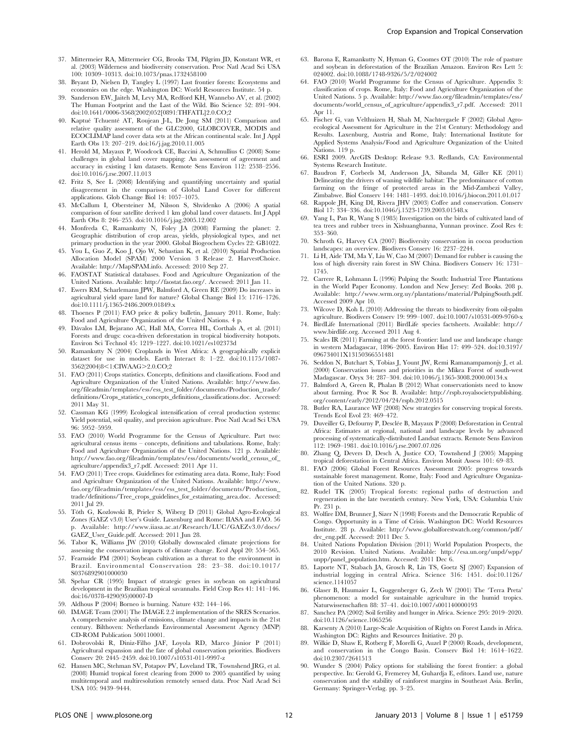- 37. Mittermeier RA, Mittermeier CG, Brooks TM, Pilgrim JD, Konstant WR, et al. (2003) Wilderness and biodiversity conservation. Proc Natl Acad Sci USA 100: 10309–10313. doi:10.1073/pnas.1732458100
- 38. Bryant D, Nielsen D, Tangley L (1997) Last frontier forests: Ecosystems and economies on the edge. Washington DC: World Resources Institute. 54 p.
- 39. Sanderson EW, Jaiteh M, Levy MA, Redford KH, Wannebo AV, et al. (2002) The Human Footprint and the Last of the Wild. Bio Science 52: 891–904. doi:10.1641/0006-3568(2002)052[0891:THFATL]2.0.CO;2
- 40. Kaptué Tchuenté AT, Roujean J-L, De Jong SM (2011) Comparison and relative quality assessment of the GLC2000, GLOBCOVER, MODIS and ECOCLIMAP land cover data sets at the African continental scale. Int J Appl Earth Obs 13: 207–219. doi:16/j.jag.2010.11.005
- 41. Herold M, Mayaux P, Woodcock CE, Baccini A, Schmullius C (2008) Some challenges in global land cover mapping: An assessment of agreement and accuracy in existing 1 km datasets. Remote Sens Environ 112: 2538–2556. doi:10.1016/j.rse.2007.11.013
- 42. Fritz S, See L (2008) Identifying and quantifying uncertainty and spatial disagreement in the comparison of Global Land Cover for different applications. Glob Change Biol 14: 1057–1075.
- 43. McCallum I, Obersteiner M, Nilsson S, Shvidenko A (2006) A spatial comparison of four satellite derived 1 km global land cover datasets. Int J Appl Earth Obs 8: 246–255. doi:10.1016/j.jag.2005.12.002
- 44. Monfreda C, Ramankutty N, Foley JA (2008) Farming the planet: 2. Geographic distribution of crop areas, yields, physiological types, and net primary production in the year 2000. Global Biogeochem Cycles 22: GB1022.
- 45. You L, Guo Z, Koo J, Ojo W, Sebastian K, et al. (2010) Spatial Production Allocation Model (SPAM) 2000 Version 3 Release 2. HarvestChoice. Available: http://MapSPAM.info. Accessed: 2010 Sep 27.
- 46. FAOSTAT Statistical databases. Food and Agriculture Organization of the United Nations. Available: http://faostat.fao.org/. Accessed: 2011 Jan 11.
- 47. Ewers RM, Scharlemann JPW, Balmford A, Green RE (2009) Do increases in agricultural yield spare land for nature? Global Change Biol 15: 1716–1726. doi:10.1111/j.1365-2486.2009.01849.x
- Thoenes P (2011) FAO price & policy bulletin, January 2011. Rome, Italy: Food and Agriculture Organization of the United Nations. 4 p.
- Dávalos LM, Bejarano AC, Hall MA, Correa HL, Corthals A, et al. (2011) Forests and drugs: coca-driven deforestation in tropical biodiversity hotspots. Environ Sci Technol 45: 1219–1227. doi:10.1021/es102373d
- 50. Ramankutty N (2004) Croplands in West Africa: A geographically explicit dataset for use in models. Earth Interact 8: 1–22. doi:10.1175/1087- 3562(2004)8<1:CIWAAG>2.0.CO;2
- 51. FAO (2011) Crops statistics. Concepts, definitions and classifications. Food and Agriculture Organization of the United Nations. Available: http://www.fao. org/fileadmin/templates/ess/ess\_test\_folder/documents/Production\_trade/ definitions/Crops\_statistics\_concepts\_definitions\_classifications.doc. Accessed: 2011 May 31.
- 52. Cassman KG (1999) Ecological intensification of cereal production systems: Yield potential, soil quality, and precision agriculture. Proc Natl Acad Sci USA 96: 5952–5959.
- 53. FAO (2010) World Programme for the Census of Agriculture. Part two: agricultural census items – concepts, definitions and tabulations. Rome, Italy: Food and Agriculture Organization of the United Nations. 121 p. Available: http://www.fao.org/fileadmin/templates/ess/documents/world\_census\_of\_ agriculture/appendix3\_r7.pdf. Accessed: 2011 Apr 11.
- 54. FAO (2011) Tree crops. Guidelines for estimating area data. Rome, Italy: Food and Agriculture Organization of the United Nations. Available: http://www. fao.org/fileadmin/templates/ess/ess\_test\_folder/documents/Production\_ trade/definitions/Tree\_crops\_guidelines\_for\_estaimating\_area.doc. Accessed: 2011 Jul 29.
- 55. Tóth G, Kozlowski B, Prieler S, Wiberg D (2011) Global Agro-Ecological Zones (GAEZ v3.0) User's Guide. Laxenburg and Rome: IIASA and FAO. 56 p. Available: http://www.iiasa.ac.at/Research/LUC/GAEZv3.0/docs/ GAEZ\_User\_Guide.pdf. Accessed: 2011 Jun 28.
- 56. Tabor K, Williams JW (2010) Globally downscaled climate projections for assessing the conservation impacts of climate change. Ecol Appl 20: 554–565.
- 57. Fearnside PM (2001) Soybean cultivation as a threat to the environment in Brazil. Environmental Conservation 28: 23–38. doi:10.1017/ S0376892901000030
- 58. Spehar CR (1995) Impact of strategic genes in soybean on agricultural development in the Brazilian tropical savannahs. Field Crop Res 41: 141–146. doi:16/0378-4290(95)00007-D
- 59. Aldhous P (2004) Borneo is burning. Nature 432: 144–146.
- IMAGE Team (2001) The IMAGE 2.2 implementation of the SRES Scenarios. A comprehensive analysis of emissions, climate change and impacts in the 21st century. Bilthoven: Netherlands Environmental Assessment Agency (MNP) CD-ROM Publication 500110001.
- 61. Dobrovolski R, Diniz-Filho JAF, Loyola RD, Marco Júnior P (2011) Agricultural expansion and the fate of global conservation priorities. Biodivers Conserv 20: 2445–2459. doi:10.1007/s10531-011-9997-z
- 62. Hansen MC, Stehman SV, Potapov PV, Loveland TR, Townshend JRG, et al. (2008) Humid tropical forest clearing from 2000 to 2005 quantified by using multitemporal and multiresolution remotely sensed data. Proc Natl Acad Sci USA 105: 9439–9444.
- 63. Barona E, Ramankutty N, Hyman G, Coomes OT (2010) The role of pasture and soybean in deforestation of the Brazilian Amazon. Environ Res Lett 5: 024002. doi:10.1088/1748-9326/5/2/024002
- 64. FAO (2010) World Programme for the Census of Agriculture. Appendix 3: classification of crops. Rome, Italy: Food and Agriculture Organization of the United Nations. 5 p. Available: http://www.fao.org/fileadmin/templates/ess/ documents/world\_census\_of\_agriculture/appendix3\_r7.pdf. Accessed: 2011 Apr 11.
- 65. Fischer G, van Velthuizen H, Shah M, Nachtergaele F (2002) Global Agroecological Assessment for Agriculture in the 21st Century: Methodology and Results. Laxenburg, Austria and Rome, Italy: International Institute for Applied Systems Analysis/Food and Agriculture Organization of the United Nations. 119 p.
- 66. ESRI 2009. ArcGIS Desktop: Release 9.3. Redlands, CA: Environmental Systems Research Institute.
- 67. Baudron F, Corbeels M, Andersson JA, Sibanda M, Giller KE (2011) Delineating the drivers of waning wildlife habitat: The predominance of cotton farming on the fringe of protected areas in the Mid-Zambezi Valley, Zimbabwe. Biol Conserv 144: 1481–1493. doi:10.1016/j.biocon.2011.01.017
- Rappole JH, King DI, Rivera JHV (2003) Coffee and conservation. Conserv Biol 17: 334–336. doi:10.1046/j.1523-1739.2003.01548.x
- 69. Yang L, Pan R, Wang S (1985) Investigation on the birds of cultivated land of tea trees and rubber trees in Xishuangbanna, Yunnan province. Zool Res 4: 353–360.
- 70. Schroth G, Harvey CA (2007) Biodiversity conservation in cocoa production landscapes: an overview. Biodivers Conserv 16: 2237–2244.
- 71. Li H, Aide TM, Ma Y, Liu W, Cao M (2007) Demand for rubber is causing the loss of high diversity rain forest in SW China. Biodivers Conserv 16: 1731– 1745.
- 72. Carrere R, Lohmann L (1996) Pulping the South: Industrial Tree Plantations in the World Paper Economy. London and New Jersey: Zed Books. 208 p. Available: http://www.wrm.org.uy/plantations/material/PulpingSouth.pdf. Accessed 2009 Apr 10.
- 73. Wilcove D, Koh L (2010) Addressing the threats to biodiversity from oil-palm agriculture. Biodivers Conserv 19: 999–1007. doi:10.1007/s10531-009-9760-x
- 74. BirdLife International (2011) BirdLife species factsheets. Available: http:// www.birdlife.org. Accessed 2011 Aug 4.
- 75. Scales IR (2011) Farming at the forest frontier: land use and landscape change in western Madagascar, 1896–2005. Environ Hist 17: 499–524. doi:10.3197/ 096734011X13150366551481
- 76. Seddon N, Butchart S, Tobias J, Yount JW, Remi Ramanampamonjy J, et al. (2000) Conservation issues and priorities in the Mikea Forest of south-west Madagascar. Oryx 34: 287–304. doi:10.1046/j.1365-3008.2000.00134.x
- 77. Balmford A, Green R, Phalan B (2012) What conservationists need to know about farming. Proc R Soc B. Available: http://rspb.royalsocietypublishing. org/content/early/2012/04/24/rspb.2012.0515
- 78. Butler RA, Laurance WF (2008) New strategies for conserving tropical forests. Trends Ecol Evol 23: 469–472.
- 79. Duveiller G, Defourny P, Desclée B, Mayaux P (2008) Deforestation in Central Africa: Estimates at regional, national and landscape levels by advanced processing of systematically-distributed Landsat extracts. Remote Sens Environ 112: 1969–1981. doi:10.1016/j.rse.2007.07.026
- 80. Zhang Q, Devers D, Desch A, Justice CO, Townshend J (2005) Mapping tropical deforestation in Central Africa. Environ Monit Assess 101: 69–83.
- 81. FAO (2006) Global Forest Resources Assessment 2005: progress towards sustainable forest management. Rome, Italy: Food and Agriculture Organization of the United Nations. 320 p.
- 82. Rudel TK (2005) Tropical forests: regional paths of destruction and regeneration in the late twentieth century. New York, USA: Columbia Univ Pr. 231 p.
- 83. Wolfire DM, Brunner J, Sizer N (1998) Forests and the Democratic Republic of Congo. Opportunity in a Time of Crisis. Washington DC: World Resources Institute. 28 p. Available: http://www.globalforestwatch.org/common/pdf/ drc\_eng.pdf. Accessed: 2011 Dec 5.
- 84. United Nations Population Division (2011) World Population Prospects, the 2010 Revision. United Nations. Available: http://esa.un.org/unpd/wpp/ unpp/panel\_population.htm. Accessed: 2011 Dec 6.
- 85. Laporte NT, Stabach JA, Grosch R, Lin TS, Goetz SJ (2007) Expansion of industrial logging in central Africa. Science 316: 1451. doi:10.1126/ science.1141057
- 86. Glaser B, Haumaier L, Guggenberger G, Zech W (2001) The 'Terra Preta' phenomenon: a model for sustainable agriculture in the humid tropics. Naturwissenschaften 88: 37–41. doi:10.1007/s001140000193
- 87. Sanchez PA (2002) Soil fertility and hunger in Africa. Science 295: 2019–2020. doi:10.1126/science.1065256
- 88. Karsenty A (2010) Large-Scale Acquisition of Rights on Forest Lands in Africa. Washington DC: Rights and Resources Initiative. 20 p.
- 89. Wilkie D, Shaw E, Rotberg F, Morelli G, Auzel P (2000) Roads, development, and conservation in the Congo Basin. Conserv Biol 14: 1614–1622. doi:10.2307/2641513
- 90. Wunder S (2004) Policy options for stabilising the forest frontier: a global perspective. In: Gerold G, Fremerey M, Guhardja E, editors. Land use, nature conservation and the stability of rainforest margins in Southeast Asia. Berlin, Germany: Springer-Verlag. pp. 3–25.